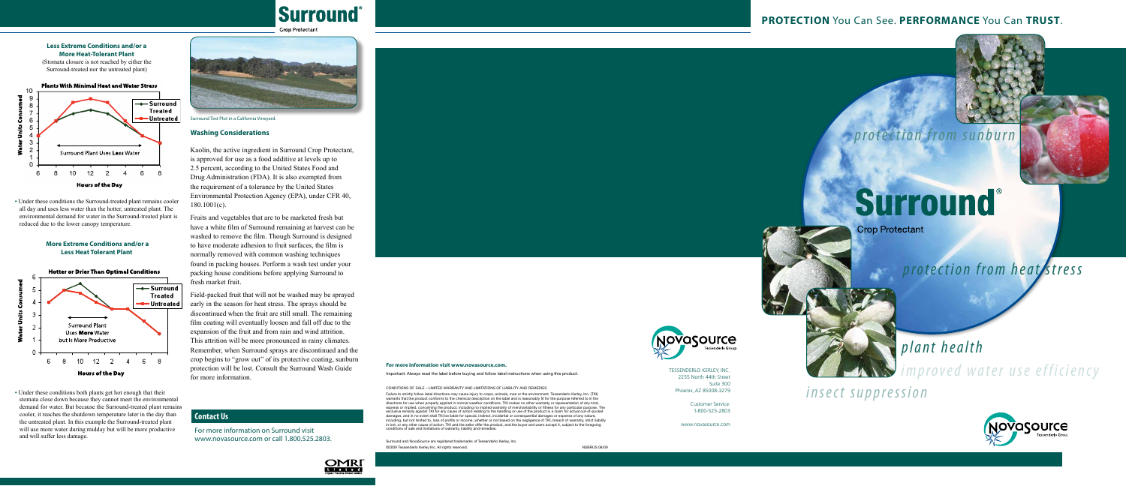# **Surround**

#### **Crop Protectant**





## **PROTECTION** You Can See. **PERFORMANCE** You Can **TRUST**.





## *p r o t e c t i o n f r o m s u n b u r n*



**Crop Protectant** 

# *p l a n t h e a l t h*

*i*m p r o v e d w a ter use efficiency

*insect suppression* 





Tessenderlo Kerley, Inc. 2255 North 44th Street Suite 300 Phoenix, AZ 85008-3279

Failure to strictly follow label directions may cause injury to crops, animals, man or the environment. Tessenderlo Kerley, Inc. (TKI) warrants that the product conforms to the chemical description on the label and is reasonably fit for the purpose referred to in the<br>directions for use when properly applied in normal weather conditions. TKI makes no other express or implied, concerning the product, including no implied warranty of merchantability or fitness for any particular purpose. The exclusive remedy against TKI for any cause of action relating to the handling or use of the product is a claim for actual out-of-pocket<br>damages, and in no event shall TKI be liable for special, indirect, incidental or cons including, but not limited to, loss of profits or income, whether or not based on the negligence of TKI, breach of warranty, strict liability in tort, or any other cause of action. TKI and the seller offer the product, and the buyer and users accept it, subject to the foregoing<br>conditions of sale and limitations of warranty, liability and remedies.

Customer Service: 1-800-525-2803

www.novasource.com



#### **For more information visit www.novasource.com.**

Important: Always read the label before buying and follow label instructions when using this product.

CONDITIONS OF SALE – LIMITED WARRANTY AND LIMITATIONS OF LIABILITY AND REMEDIES

Surround and NovaSource are registered trademarks of Tessenderlo Kerley, Inc. ©2009 Tessenderlo Kerley Inc. All rights reserved. NSBRUS 08/09

#### **Less Extreme Conditions and/or a More Heat-Tolerant Plant**

(Stomata closure is not reached by either the Surround-treated nor the untreated plant)

**Plants With Minimal Heat and Water Stress** 



• Under these conditions the Surround-treated plant remains cooler all day and uses less water than the hotter, untreated plant. The environmental demand for water in the Surround-treated plant is reduced due to the lower canopy temperature.

#### **More Extreme Conditions and/or a Less Heat Tolerant Plant**



• Under these conditions both plants get hot enough that their stomata close down because they cannot meet the environmental demand for water. But because the Surround-treated plant remains cooler, it reaches the shutdown temperature later in the day than the untreated plant. In this example the Surround-treated plant will use more water during midday but will be more productive and will suffer less damage.



#### **Contact Us**

For more information on Surround visit www.novasource.com or call 1.800.525.2803.

Surround Test Plot in a California Vineyard.

#### **Washing Considerations**

Kaolin, the active ingredient in Surround Crop Protectant, is approved for use as a food additive at levels up to 2.5 percent, according to the United States Food and Drug Administration (FDA). It is also exempted from the requirement of a tolerance by the United States Environmental Protection Agency (EPA), under CFR 40, 180.1001(c).

Fruits and vegetables that are to be marketed fresh but have a white film of Surround remaining at harvest can be washed to remove the film. Though Surround is designed to have moderate adhesion to fruit surfaces, the film is normally removed with common washing techniques found in packing houses. Perform a wash test under your packing house conditions before applying Surround to fresh market fruit.

Field-packed fruit that will not be washed may be sprayed early in the season for heat stress. The sprays should be discontinued when the fruit are still small. The remaining film coating will eventually loosen and fall off due to the expansion of the fruit and from rain and wind attrition. This attrition will be more pronounced in rainy climates. Remember, when Surround sprays are discontinued and the crop begins to "grow out" of its protective coating, sunburn protection will be lost. Consult the Surround Wash Guide for more information.